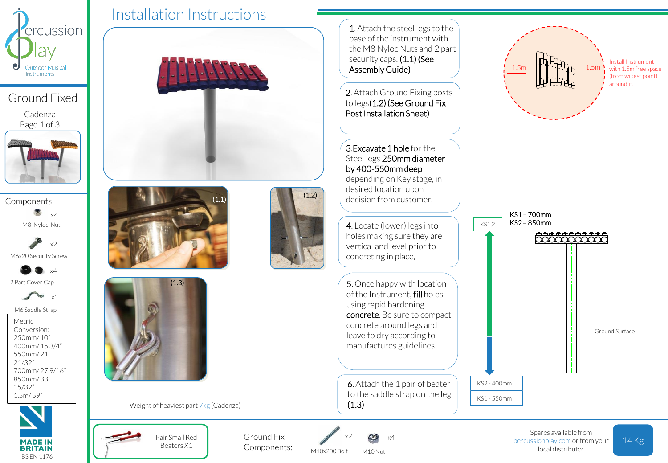

Ground Fixed

Cadenza Page 1 of 3



Components: M8 Nyloc Nut x4

M6x20 Security Screw x2

2 Part Cover Cap x4

> ٩Ð x1

M6 Saddle Strap

Metric Conversion: 250mm/ 10" 400mm/ 15 3/4" 550mm/ 21 21/32" 700mm/ 27 9/16" 850mm/ 33 15/32" 1.5m/ 59"



Installation Instructions  $(1.1)$  (1.2)  $(1.3)$ 

Beaters X1

Weight of heaviest part 7kg (Cadenza)



KS1 - 550mm

to the saddle strap on the leg.  $(1.3)$ 

Pair Small Red Ground Fix  $x^2$   $x^3$   $x^4$  percussionplay.com or from your 14 Kg Spares available from local distributor

M10x200 Bolt

Ground Fix Components:

x2

M10 Nut x4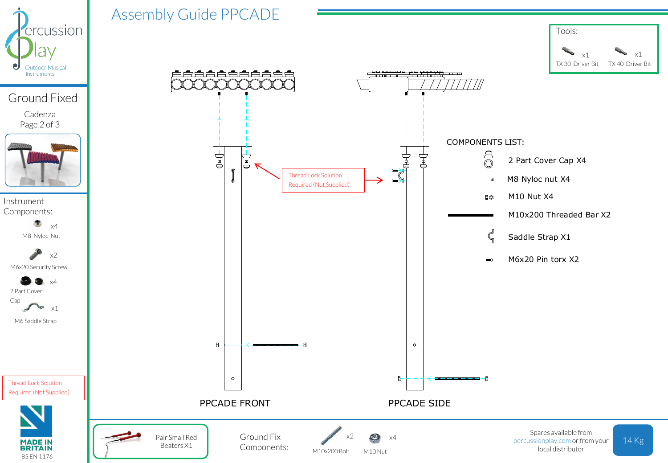